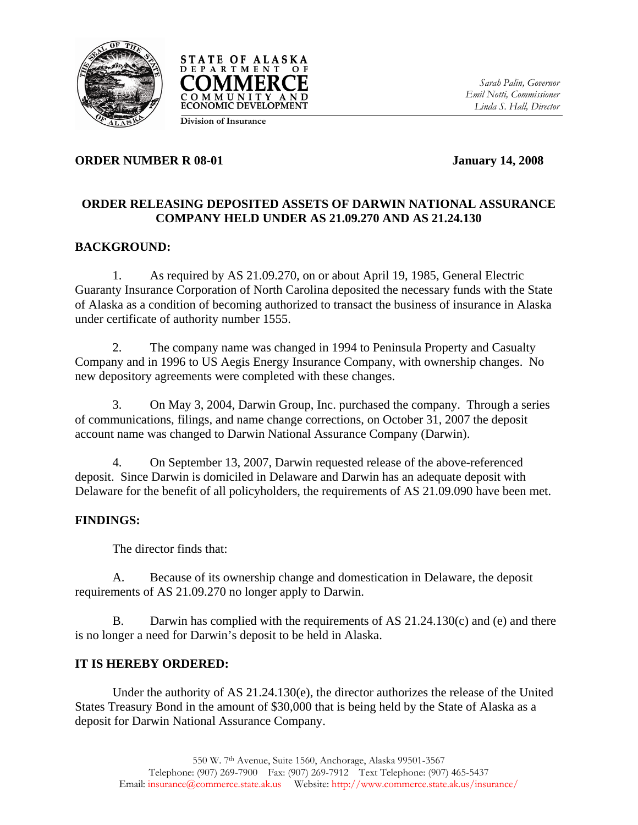



*Sarah Palin, Governor Emil Notti, Commissioner Linda S. Hall, Director* 

**ORDER NUMBER R 08-01 January 14, 2008** 

# **ORDER RELEASING DEPOSITED ASSETS OF DARWIN NATIONAL ASSURANCE COMPANY HELD UNDER AS 21.09.270 AND AS 21.24.130**

# **BACKGROUND:**

1. As required by AS 21.09.270, on or about April 19, 1985, General Electric Guaranty Insurance Corporation of North Carolina deposited the necessary funds with the State of Alaska as a condition of becoming authorized to transact the business of insurance in Alaska under certificate of authority number 1555.

2. The company name was changed in 1994 to Peninsula Property and Casualty Company and in 1996 to US Aegis Energy Insurance Company, with ownership changes. No new depository agreements were completed with these changes.

3. On May 3, 2004, Darwin Group, Inc. purchased the company. Through a series of communications, filings, and name change corrections, on October 31, 2007 the deposit account name was changed to Darwin National Assurance Company (Darwin).

4. On September 13, 2007, Darwin requested release of the above-referenced deposit. Since Darwin is domiciled in Delaware and Darwin has an adequate deposit with Delaware for the benefit of all policyholders, the requirements of AS 21.09.090 have been met.

## **FINDINGS:**

The director finds that:

A. Because of its ownership change and domestication in Delaware, the deposit requirements of AS 21.09.270 no longer apply to Darwin.

B. Darwin has complied with the requirements of AS 21.24.130(c) and (e) and there is no longer a need for Darwin's deposit to be held in Alaska.

## **IT IS HEREBY ORDERED:**

 Under the authority of AS 21.24.130(e), the director authorizes the release of the United States Treasury Bond in the amount of \$30,000 that is being held by the State of Alaska as a deposit for Darwin National Assurance Company.